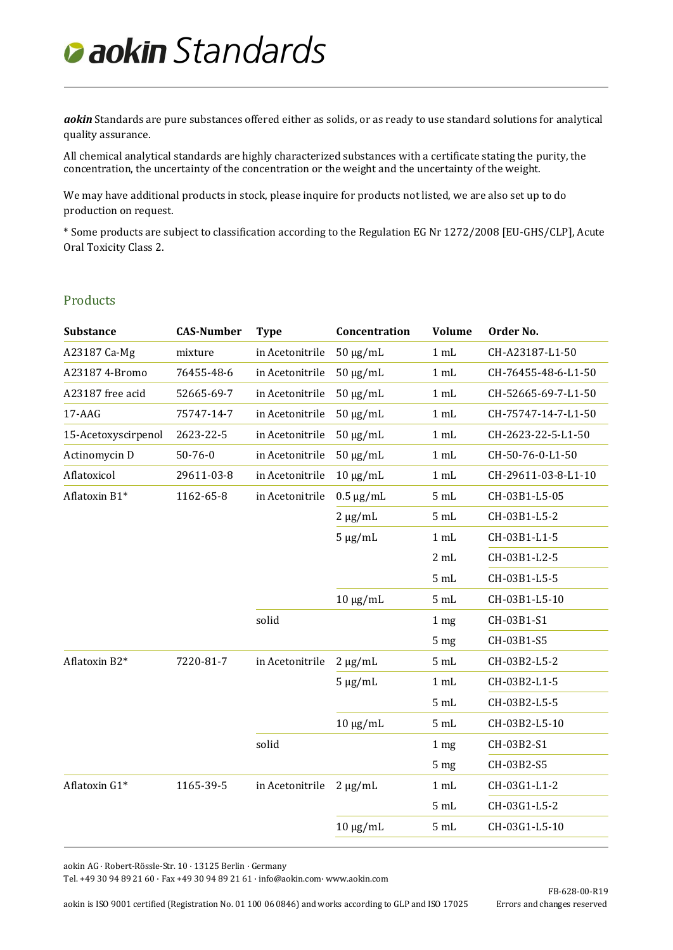*aokin* Standards are pure substances offered either as solids, or as ready to use standard solutions for analytical quality assurance.

All chemical analytical standards are highly characterized substances with a certificate stating the purity, the concentration, the uncertainty of the concentration or the weight and the uncertainty of the weight.

We may have additional products in stock, please inquire for products not listed, we are also set up to do production on request.

\* Some products are subject to classification according to the Regulation EG Nr 1272/2008 [EU-GHS/CLP], Acute Oral Toxicity Class 2.

#### Products

| <b>Substance</b>    | <b>CAS-Number</b> | <b>Type</b>     | Concentration  | <b>Volume</b>   | Order No.           |
|---------------------|-------------------|-----------------|----------------|-----------------|---------------------|
| A23187 Ca-Mg        | mixture           | in Acetonitrile | $50 \mu g/mL$  | 1 mL            | CH-A23187-L1-50     |
| A23187 4-Bromo      | 76455-48-6        | in Acetonitrile | $50 \mu g/mL$  | 1 mL            | CH-76455-48-6-L1-50 |
| A23187 free acid    | 52665-69-7        | in Acetonitrile | $50 \mu g/mL$  | 1 mL            | CH-52665-69-7-L1-50 |
| $17 - AAG$          | 75747-14-7        | in Acetonitrile | $50 \mu g/mL$  | 1 mL            | CH-75747-14-7-L1-50 |
| 15-Acetoxyscirpenol | 2623-22-5         | in Acetonitrile | $50 \mu g/mL$  | 1 mL            | CH-2623-22-5-L1-50  |
| Actinomycin D       | $50 - 76 - 0$     | in Acetonitrile | $50 \mu g/mL$  | 1 mL            | CH-50-76-0-L1-50    |
| Aflatoxicol         | 29611-03-8        | in Acetonitrile | $10 \mu g/mL$  | 1 mL            | CH-29611-03-8-L1-10 |
| Aflatoxin B1*       | 1162-65-8         | in Acetonitrile | $0.5 \mu g/mL$ | 5 mL            | CH-03B1-L5-05       |
|                     |                   |                 | $2 \mu g/mL$   | 5 mL            | CH-03B1-L5-2        |
|                     |                   |                 | $5 \mu g/mL$   | 1 mL            | CH-03B1-L1-5        |
|                     |                   |                 |                | 2 mL            | CH-03B1-L2-5        |
|                     |                   |                 |                | 5 mL            | CH-03B1-L5-5        |
|                     |                   |                 | $10 \mu g/mL$  | 5 mL            | CH-03B1-L5-10       |
|                     |                   | solid           |                | 1 <sub>mg</sub> | CH-03B1-S1          |
|                     |                   |                 |                | 5 <sub>mg</sub> | CH-03B1-S5          |
| Aflatoxin B2*       | 7220-81-7         | in Acetonitrile | $2 \mu g/mL$   | 5 mL            | CH-03B2-L5-2        |
|                     |                   |                 | $5 \mu g/mL$   | 1 mL            | CH-03B2-L1-5        |
|                     |                   |                 |                | 5 <sub>mL</sub> | CH-03B2-L5-5        |
|                     |                   |                 | $10 \mu g/mL$  | 5 mL            | CH-03B2-L5-10       |
|                     |                   | solid           |                | 1 <sub>mg</sub> | CH-03B2-S1          |
|                     |                   |                 |                | 5 <sub>mg</sub> | CH-03B2-S5          |
| Aflatoxin G1*       | 1165-39-5         | in Acetonitrile | $2 \mu g/mL$   | 1 mL            | CH-03G1-L1-2        |
|                     |                   |                 |                | 5 mL            | CH-03G1-L5-2        |
|                     |                   |                 | $10 \mu g/mL$  | 5 mL            | CH-03G1-L5-10       |
|                     |                   |                 |                |                 |                     |

aokin AG · Robert-Rössle-Str. 10 · 13125 Berlin · Germany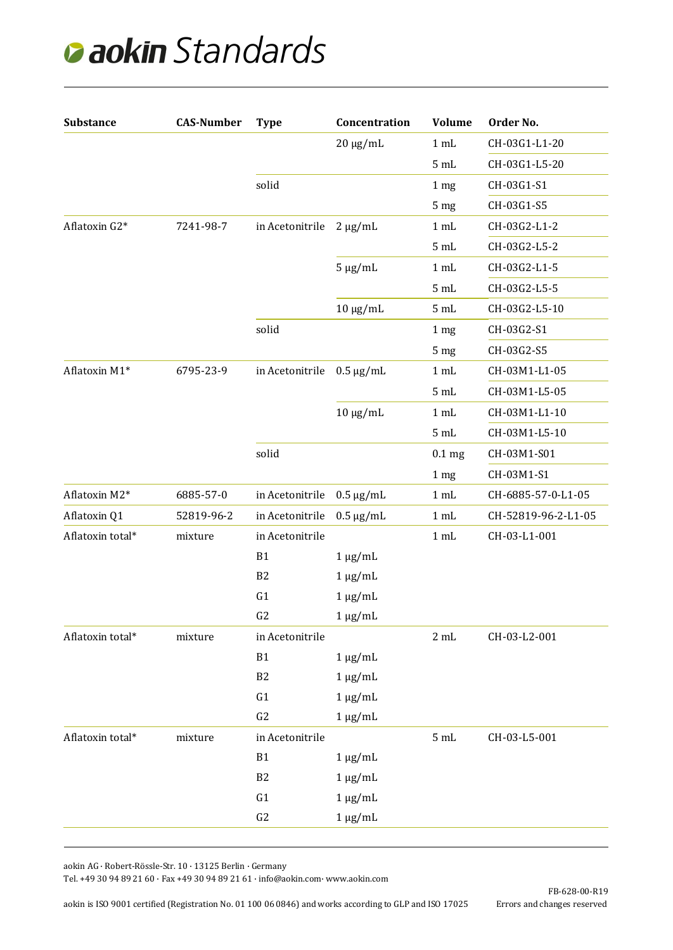| <b>Substance</b> | <b>CAS-Number</b> | <b>Type</b>     | Concentration  | <b>Volume</b>     | Order No.           |
|------------------|-------------------|-----------------|----------------|-------------------|---------------------|
|                  |                   |                 | $20 \mu g/mL$  | 1 mL              | CH-03G1-L1-20       |
|                  |                   |                 |                | 5 mL              | CH-03G1-L5-20       |
|                  |                   | solid           |                | 1 mg              | CH-03G1-S1          |
|                  |                   |                 |                | 5 <sub>mg</sub>   | CH-03G1-S5          |
| Aflatoxin G2*    | 7241-98-7         | in Acetonitrile | $2 \mu g/mL$   | 1 mL              | CH-03G2-L1-2        |
|                  |                   |                 |                | 5 mL              | CH-03G2-L5-2        |
|                  |                   |                 | $5 \mu g/mL$   | 1 mL              | CH-03G2-L1-5        |
|                  |                   |                 |                | 5 mL              | CH-03G2-L5-5        |
|                  |                   |                 | $10 \mu g/mL$  | 5 mL              | CH-03G2-L5-10       |
|                  |                   | solid           |                | 1 <sub>mg</sub>   | CH-03G2-S1          |
|                  |                   |                 |                | 5 mg              | CH-03G2-S5          |
| Aflatoxin M1*    | 6795-23-9         | in Acetonitrile | $0.5 \mu g/mL$ | 1 mL              | CH-03M1-L1-05       |
|                  |                   |                 |                | 5 mL              | CH-03M1-L5-05       |
|                  |                   |                 | $10 \mu g/mL$  | 1 mL              | CH-03M1-L1-10       |
|                  |                   |                 |                | 5 mL              | CH-03M1-L5-10       |
|                  |                   | solid           |                | 0.1 <sub>mg</sub> | CH-03M1-S01         |
|                  |                   |                 |                | 1 mg              | CH-03M1-S1          |
| Aflatoxin M2*    | 6885-57-0         | in Acetonitrile | $0.5 \mu g/mL$ | 1 mL              | CH-6885-57-0-L1-05  |
| Aflatoxin Q1     | 52819-96-2        | in Acetonitrile | $0.5 \mu g/mL$ | 1 mL              | CH-52819-96-2-L1-05 |
| Aflatoxin total* | mixture           | in Acetonitrile |                | 1 mL              | CH-03-L1-001        |
|                  |                   | <b>B1</b>       | $1 \mu g/mL$   |                   |                     |
|                  |                   | B <sub>2</sub>  | $1 \mu g/mL$   |                   |                     |
|                  |                   | G1              | $1 \mu g/mL$   |                   |                     |
|                  |                   | G <sub>2</sub>  | $1 \mu g/mL$   |                   |                     |
| Aflatoxin total* | mixture           | in Acetonitrile |                | $2 \mathrm{mL}$   | CH-03-L2-001        |
|                  |                   | <b>B1</b>       | $1 \mu g/mL$   |                   |                     |
|                  |                   | B <sub>2</sub>  | $1 \mu g/mL$   |                   |                     |
|                  |                   | G1              | $1 \mu g/mL$   |                   |                     |
|                  |                   | G2              | $1 \mu g/mL$   |                   |                     |
| Aflatoxin total* | mixture           | in Acetonitrile |                | 5 mL              | CH-03-L5-001        |
|                  |                   | <b>B1</b>       | $1 \mu g/mL$   |                   |                     |
|                  |                   | B <sub>2</sub>  | $1 \mu g/mL$   |                   |                     |
|                  |                   | G1              | $1 \mu g/mL$   |                   |                     |
|                  |                   | G2              | $1 \mu g/mL$   |                   |                     |

aokin AG · Robert-Rössle-Str. 10 · 13125 Berlin · Germany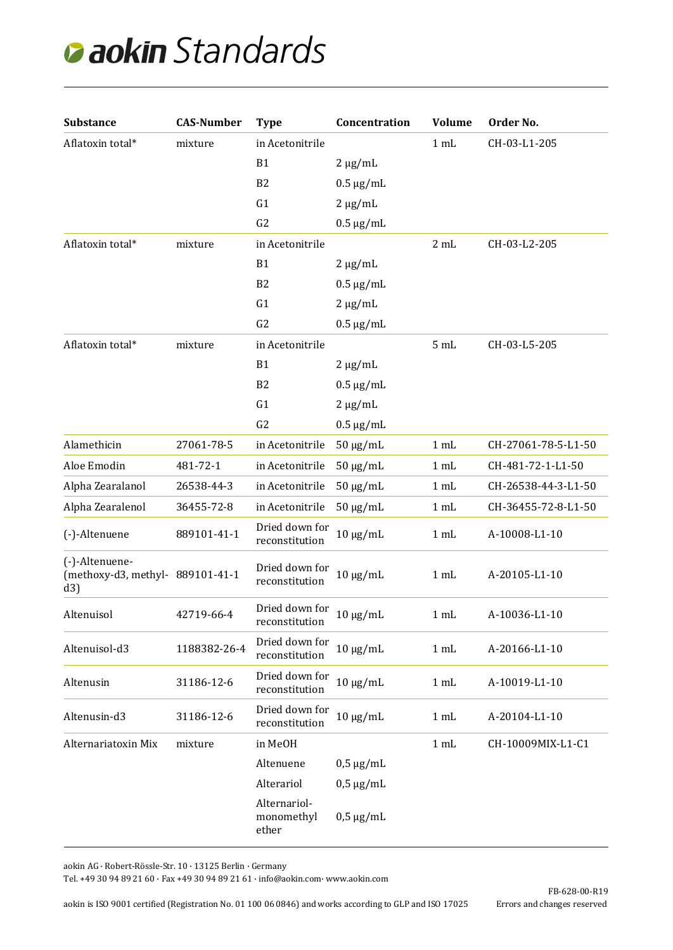| <b>Substance</b>                                          | <b>CAS-Number</b> | <b>Type</b>                         | Concentration         | <b>Volume</b> | Order No.           |
|-----------------------------------------------------------|-------------------|-------------------------------------|-----------------------|---------------|---------------------|
| Aflatoxin total*                                          | mixture           | in Acetonitrile                     |                       | 1 mL          | CH-03-L1-205        |
|                                                           |                   | <b>B1</b>                           | $2 \mu g/mL$          |               |                     |
|                                                           |                   | B <sub>2</sub>                      | $0.5 \mu g/mL$        |               |                     |
|                                                           |                   | G1                                  | $2 \mu g/mL$          |               |                     |
|                                                           |                   | G <sub>2</sub>                      | $0.5 \mu g/mL$        |               |                     |
| Aflatoxin total*                                          | mixture           | in Acetonitrile                     |                       | 2 mL          | CH-03-L2-205        |
|                                                           |                   | <b>B1</b>                           | $2 \mu g/mL$          |               |                     |
|                                                           |                   | B <sub>2</sub>                      | $0.5 \mu g/mL$        |               |                     |
|                                                           |                   | G1                                  | $2 \mu g/mL$          |               |                     |
|                                                           |                   | G <sub>2</sub>                      | $0.5 \mu g/mL$        |               |                     |
| Aflatoxin total*                                          | mixture           | in Acetonitrile                     |                       | 5 mL          | CH-03-L5-205        |
|                                                           |                   | B <sub>1</sub>                      | $2 \mu g/mL$          |               |                     |
|                                                           |                   | B <sub>2</sub>                      | $0.5 \mu g/mL$        |               |                     |
|                                                           |                   | G1                                  | $2 \mu g/mL$          |               |                     |
|                                                           |                   | G <sub>2</sub>                      | $0.5 \mu g/mL$        |               |                     |
| Alamethicin                                               | 27061-78-5        | in Acetonitrile                     | $50 \mu g/mL$         | 1 mL          | CH-27061-78-5-L1-50 |
| Aloe Emodin                                               | 481-72-1          | in Acetonitrile                     | $50 \mu g/mL$         | 1 mL          | CH-481-72-1-L1-50   |
| Alpha Zearalanol                                          | 26538-44-3        | in Acetonitrile                     | $50 \mu g/mL$         | 1 mL          | CH-26538-44-3-L1-50 |
| Alpha Zearalenol                                          | 36455-72-8        | in Acetonitrile                     | $50 \mu g/mL$         | 1 mL          | CH-36455-72-8-L1-50 |
| (-)-Altenuene                                             | 889101-41-1       | Dried down for<br>reconstitution    | $10 \mu g/mL$         | 1 mL          | A-10008-L1-10       |
| (-)-Altenuene-<br>(methoxy-d3, methyl- 889101-41-1<br>d3) |                   | Dried down for<br>reconstitution    | $10 \mu g/mL$         | 1 mL          | A-20105-L1-10       |
| Altenuisol                                                | 42719-66-4        | Dried down for<br>reconstitution    | $10~\upmu\text{g/mL}$ | 1 mL          | A-10036-L1-10       |
| Altenuisol-d3                                             | 1188382-26-4      | Dried down for<br>reconstitution    | $10 \mu g/mL$         | 1 mL          | A-20166-L1-10       |
| Altenusin                                                 | 31186-12-6        | Dried down for<br>reconstitution    | $10 \mu g/mL$         | 1 mL          | A-10019-L1-10       |
| Altenusin-d3                                              | 31186-12-6        | Dried down for<br>reconstitution    | $10 \mu g/mL$         | 1 mL          | A-20104-L1-10       |
| Alternariatoxin Mix                                       | mixture           | in MeOH                             |                       | 1 mL          | CH-10009MIX-L1-C1   |
|                                                           |                   | Altenuene                           | $0.5 \mu g/mL$        |               |                     |
|                                                           |                   | Alterariol                          | $0.5 \mu g/mL$        |               |                     |
|                                                           |                   | Alternariol-<br>monomethyl<br>ether | $0.5 \mu g/mL$        |               |                     |

aokin AG · Robert-Rössle-Str. 10 · 13125 Berlin · Germany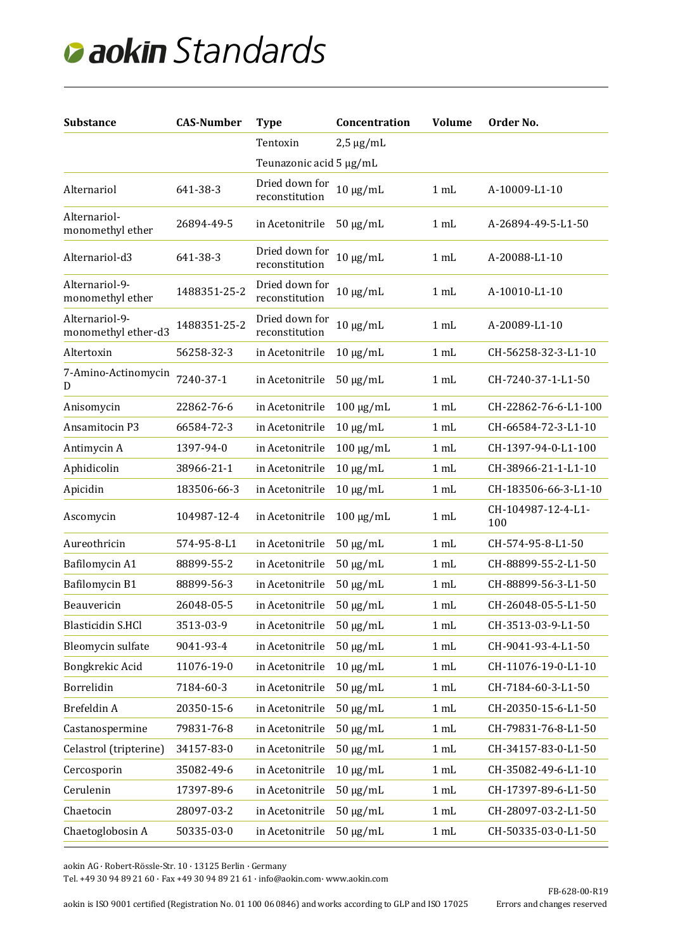| <b>Substance</b>                      | <b>CAS-Number</b> | <b>Type</b>                      | Concentration  | <b>Volume</b>  | Order No.                 |
|---------------------------------------|-------------------|----------------------------------|----------------|----------------|---------------------------|
|                                       |                   | Tentoxin                         | $2,5 \mu g/mL$ |                |                           |
|                                       |                   | Teunazonic acid 5 µg/mL          |                |                |                           |
| Alternariol                           | 641-38-3          | Dried down for<br>reconstitution | $10 \mu g/mL$  | $1 \text{ mL}$ | A-10009-L1-10             |
| Alternariol-<br>monomethyl ether      | 26894-49-5        | in Acetonitrile                  | $50 \mu g/mL$  | 1 mL           | A-26894-49-5-L1-50        |
| Alternariol-d3                        | 641-38-3          | Dried down for<br>reconstitution | $10 \mu g/mL$  | $1 \text{ mL}$ | A-20088-L1-10             |
| Alternariol-9-<br>monomethyl ether    | 1488351-25-2      | Dried down for<br>reconstitution | $10 \mu g/mL$  | $1 \text{ mL}$ | A-10010-L1-10             |
| Alternariol-9-<br>monomethyl ether-d3 | 1488351-25-2      | Dried down for<br>reconstitution | $10 \mu g/mL$  | $1 \text{ mL}$ | A-20089-L1-10             |
| Altertoxin                            | 56258-32-3        | in Acetonitrile                  | $10 \mu g/mL$  | 1 mL           | CH-56258-32-3-L1-10       |
| 7-Amino-Actinomycin<br>D              | 7240-37-1         | in Acetonitrile                  | $50 \mu g/mL$  | 1 mL           | CH-7240-37-1-L1-50        |
| Anisomycin                            | 22862-76-6        | in Acetonitrile                  | $100 \mu g/mL$ | 1 mL           | CH-22862-76-6-L1-100      |
| Ansamitocin P3                        | 66584-72-3        | in Acetonitrile                  | $10 \mu g/mL$  | 1 mL           | CH-66584-72-3-L1-10       |
| Antimycin A                           | 1397-94-0         | in Acetonitrile                  | $100 \mu g/mL$ | 1 mL           | CH-1397-94-0-L1-100       |
| Aphidicolin                           | 38966-21-1        | in Acetonitrile                  | $10 \mu g/mL$  | 1 mL           | CH-38966-21-1-L1-10       |
| Apicidin                              | 183506-66-3       | in Acetonitrile                  | $10 \mu g/mL$  | 1 mL           | CH-183506-66-3-L1-10      |
| Ascomycin                             | 104987-12-4       | in Acetonitrile                  | $100 \mu g/mL$ | $1 \text{ mL}$ | CH-104987-12-4-L1-<br>100 |
| Aureothricin                          | 574-95-8-L1       | in Acetonitrile                  | $50 \mu g/mL$  | 1 mL           | CH-574-95-8-L1-50         |
| Bafilomycin A1                        | 88899-55-2        | in Acetonitrile                  | $50 \mu g/mL$  | $1 \text{ mL}$ | CH-88899-55-2-L1-50       |
| Bafilomycin B1                        | 88899-56-3        | in Acetonitrile                  | $50 \mu g/mL$  | 1 mL           | CH-88899-56-3-L1-50       |
| Beauvericin                           | 26048-05-5        | in Acetonitrile                  | $50 \mu g/mL$  | 1 mL           | CH-26048-05-5-L1-50       |
| <b>Blasticidin S.HCl</b>              | 3513-03-9         | in Acetonitrile                  | $50 \mu g/mL$  | 1 mL           | CH-3513-03-9-L1-50        |
| Bleomycin sulfate                     | 9041-93-4         | in Acetonitrile                  | $50 \mu g/mL$  | 1 mL           | CH-9041-93-4-L1-50        |
| Bongkrekic Acid                       | 11076-19-0        | in Acetonitrile                  | $10 \mu g/mL$  | 1 mL           | CH-11076-19-0-L1-10       |
| Borrelidin                            | 7184-60-3         | in Acetonitrile                  | $50 \mu g/mL$  | 1 mL           | CH-7184-60-3-L1-50        |
| Brefeldin A                           | 20350-15-6        | in Acetonitrile                  | $50 \mu g/mL$  | 1 mL           | CH-20350-15-6-L1-50       |
| Castanospermine                       | 79831-76-8        | in Acetonitrile                  | $50 \mu g/mL$  | 1 mL           | CH-79831-76-8-L1-50       |
| Celastrol (tripterine)                | 34157-83-0        | in Acetonitrile                  | $50 \mu g/mL$  | 1 mL           | CH-34157-83-0-L1-50       |
| Cercosporin                           | 35082-49-6        | in Acetonitrile                  | $10 \mu g/mL$  | 1 mL           | CH-35082-49-6-L1-10       |
| Cerulenin                             | 17397-89-6        | in Acetonitrile                  | $50 \mu g/mL$  | 1 mL           | CH-17397-89-6-L1-50       |
| Chaetocin                             | 28097-03-2        | in Acetonitrile                  | $50 \mu g/mL$  | 1 mL           | CH-28097-03-2-L1-50       |
| Chaetoglobosin A                      | 50335-03-0        | in Acetonitrile                  | $50 \mu g/mL$  | $1 \text{ mL}$ | CH-50335-03-0-L1-50       |

aokin AG · Robert-Rössle-Str. 10 · 13125 Berlin · Germany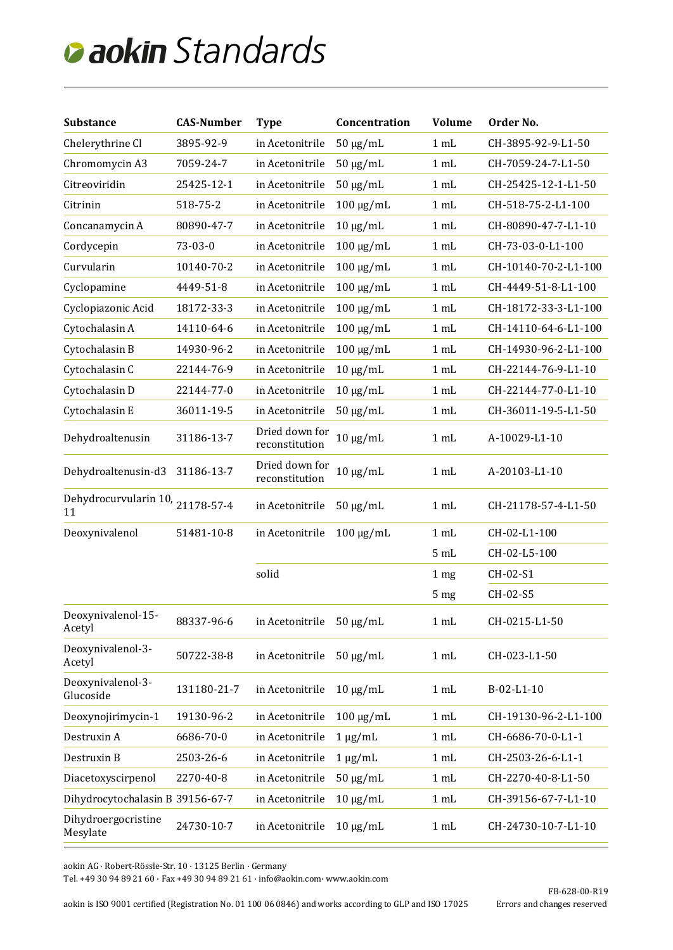| <b>Substance</b>                       | <b>CAS-Number</b> | <b>Type</b>                      | Concentration  | <b>Volume</b>   | Order No.            |
|----------------------------------------|-------------------|----------------------------------|----------------|-----------------|----------------------|
| Chelerythrine Cl                       | 3895-92-9         | in Acetonitrile                  | $50 \mu g/mL$  | 1 mL            | CH-3895-92-9-L1-50   |
| Chromomycin A3                         | 7059-24-7         | in Acetonitrile                  | $50 \mu g/mL$  | 1 mL            | CH-7059-24-7-L1-50   |
| Citreoviridin                          | 25425-12-1        | in Acetonitrile                  | $50 \mu g/mL$  | 1 mL            | CH-25425-12-1-L1-50  |
| Citrinin                               | 518-75-2          | in Acetonitrile                  | $100 \mu g/mL$ | 1 mL            | CH-518-75-2-L1-100   |
| Concanamycin A                         | 80890-47-7        | in Acetonitrile                  | $10 \mu g/mL$  | 1 mL            | CH-80890-47-7-L1-10  |
| Cordycepin                             | 73-03-0           | in Acetonitrile                  | $100 \mu g/mL$ | 1 mL            | CH-73-03-0-L1-100    |
| Curvularin                             | 10140-70-2        | in Acetonitrile                  | $100 \mu g/mL$ | 1 mL            | CH-10140-70-2-L1-100 |
| Cyclopamine                            | 4449-51-8         | in Acetonitrile                  | $100 \mu g/mL$ | 1 mL            | CH-4449-51-8-L1-100  |
| Cyclopiazonic Acid                     | 18172-33-3        | in Acetonitrile                  | $100 \mu g/mL$ | 1 mL            | CH-18172-33-3-L1-100 |
| Cytochalasin A                         | 14110-64-6        | in Acetonitrile                  | $100 \mu g/mL$ | 1 mL            | CH-14110-64-6-L1-100 |
| Cytochalasin B                         | 14930-96-2        | in Acetonitrile                  | $100 \mu g/mL$ | 1 mL            | CH-14930-96-2-L1-100 |
| Cytochalasin C                         | 22144-76-9        | in Acetonitrile                  | $10 \mu g/mL$  | 1 mL            | CH-22144-76-9-L1-10  |
| Cytochalasin D                         | 22144-77-0        | in Acetonitrile                  | $10 \mu g/mL$  | 1 mL            | CH-22144-77-0-L1-10  |
| Cytochalasin E                         | 36011-19-5        | in Acetonitrile                  | $50 \mu g/mL$  | 1 mL            | CH-36011-19-5-L1-50  |
| Dehydroaltenusin                       | 31186-13-7        | Dried down for<br>reconstitution | $10 \mu g/mL$  | 1 mL            | A-10029-L1-10        |
| Dehydroaltenusin-d3                    | 31186-13-7        | Dried down for<br>reconstitution | $10 \mu g/mL$  | 1 mL            | A-20103-L1-10        |
| Dehydrocurvularin 10, 21178-57-4<br>11 |                   | in Acetonitrile                  | $50 \mu g/mL$  | 1 mL            | CH-21178-57-4-L1-50  |
| Deoxynivalenol                         | 51481-10-8        | in Acetonitrile                  | $100 \mu g/mL$ | 1 mL            | CH-02-L1-100         |
|                                        |                   |                                  |                | 5mL             | CH-02-L5-100         |
|                                        |                   | solid                            |                | 1 <sub>mg</sub> | CH-02-S1             |
|                                        |                   |                                  |                | 5 mg            | CH-02-S5             |
| Deoxynivalenol-15-<br>Acetyl           | 88337-96-6        | in Acetonitrile 50 µg/mL         |                | 1 mL            | CH-0215-L1-50        |
| Deoxynivalenol-3-<br>Acetyl            | 50722-38-8        | in Acetonitrile                  | $50 \mu g/mL$  | 1 mL            | CH-023-L1-50         |
| Deoxynivalenol-3-<br>Glucoside         | 131180-21-7       | in Acetonitrile                  | $10 \mu g/mL$  | 1 mL            | B-02-L1-10           |
| Deoxynojirimycin-1                     | 19130-96-2        | in Acetonitrile                  | $100 \mu g/mL$ | 1 mL            | CH-19130-96-2-L1-100 |
| Destruxin A                            | 6686-70-0         | in Acetonitrile                  | $1 \mu g/mL$   | 1 mL            | CH-6686-70-0-L1-1    |
| Destruxin B                            | 2503-26-6         | in Acetonitrile                  | $1 \mu g/mL$   | 1 mL            | CH-2503-26-6-L1-1    |
| Diacetoxyscirpenol                     | 2270-40-8         | in Acetonitrile                  | $50 \mu g/mL$  | 1 mL            | CH-2270-40-8-L1-50   |
| Dihydrocytochalasin B 39156-67-7       |                   | in Acetonitrile                  | $10 \mu g/mL$  | 1 mL            | CH-39156-67-7-L1-10  |
| Dihydroergocristine<br>Mesylate        | 24730-10-7        | in Acetonitrile                  | $10 \mu g/mL$  | 1 mL            | CH-24730-10-7-L1-10  |

aokin AG · Robert-Rössle-Str. 10 · 13125 Berlin · Germany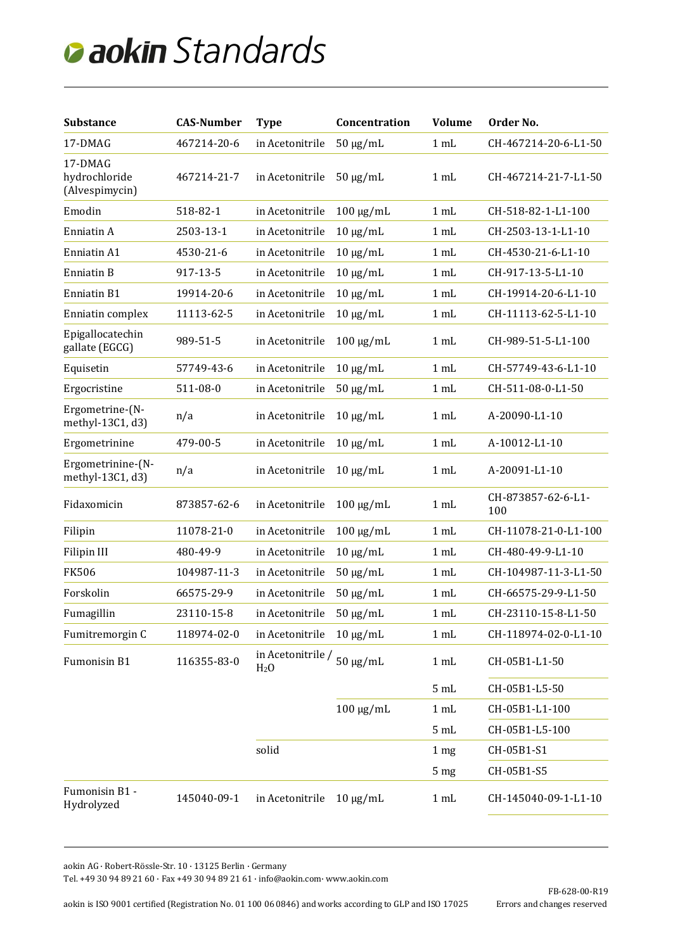| <b>Substance</b>                           | <b>CAS-Number</b> | <b>Type</b>                           | Concentration   | <b>Volume</b>   | Order No.                 |
|--------------------------------------------|-------------------|---------------------------------------|-----------------|-----------------|---------------------------|
| 17-DMAG                                    | 467214-20-6       | in Acetonitrile                       | $50 \mu g/mL$   | 1 mL            | CH-467214-20-6-L1-50      |
| 17-DMAG<br>hydrochloride<br>(Alvespimycin) | 467214-21-7       | in Acetonitrile                       | $50 \mu g/mL$   | 1 mL            | CH-467214-21-7-L1-50      |
| Emodin                                     | 518-82-1          | in Acetonitrile                       | $100 \mu g/mL$  | 1 mL            | CH-518-82-1-L1-100        |
| Enniatin A                                 | 2503-13-1         | in Acetonitrile                       | $10 \mu g/mL$   | 1 mL            | CH-2503-13-1-L1-10        |
| Enniatin A1                                | 4530-21-6         | in Acetonitrile                       | $10 \mu g/mL$   | 1 <sub>mL</sub> | CH-4530-21-6-L1-10        |
| Enniatin B                                 | 917-13-5          | in Acetonitrile                       | $10 \mu g/mL$   | 1 <sub>mL</sub> | CH-917-13-5-L1-10         |
| Enniatin B1                                | 19914-20-6        | in Acetonitrile                       | $10 \mu g/mL$   | $1 \text{ mL}$  | CH-19914-20-6-L1-10       |
| Enniatin complex                           | 11113-62-5        | in Acetonitrile                       | $10 \mu g/mL$   | 1 mL            | CH-11113-62-5-L1-10       |
| Epigallocatechin<br>gallate (EGCG)         | 989-51-5          | in Acetonitrile                       | $100 \mu g/mL$  | 1 mL            | CH-989-51-5-L1-100        |
| Equisetin                                  | 57749-43-6        | in Acetonitrile                       | $10 \mu g/mL$   | 1 mL            | CH-57749-43-6-L1-10       |
| Ergocristine                               | 511-08-0          | in Acetonitrile                       | $50 \mu g/mL$   | 1 mL            | CH-511-08-0-L1-50         |
| Ergometrine-(N-<br>methyl-13C1, d3)        | n/a               | in Acetonitrile                       | $10 \mu g/mL$   | 1 mL            | A-20090-L1-10             |
| Ergometrinine                              | 479-00-5          | in Acetonitrile                       | $10 \mu g/mL$   | 1 mL            | A-10012-L1-10             |
| Ergometrinine-(N-<br>methyl-13C1, d3)      | n/a               | in Acetonitrile                       | $10 \mu g/mL$   | 1 mL            | A-20091-L1-10             |
| Fidaxomicin                                | 873857-62-6       | in Acetonitrile                       | $100 \mu g/mL$  | 1 mL            | CH-873857-62-6-L1-<br>100 |
| Filipin                                    | 11078-21-0        | in Acetonitrile                       | $100 \mu g/mL$  | 1 mL            | CH-11078-21-0-L1-100      |
| <b>Filipin III</b>                         | 480-49-9          | in Acetonitrile                       | $10 \mu g/mL$   | $1 \text{ mL}$  | CH-480-49-9-L1-10         |
| <b>FK506</b>                               | 104987-11-3       | in Acetonitrile                       | $50 \mu g/mL$   | 1 mL            | CH-104987-11-3-L1-50      |
| Forskolin                                  | 66575-29-9        | in Acetonitrile                       | $50 \mu g/mL$   | 1 mL            | CH-66575-29-9-L1-50       |
| Fumagillin                                 | 23110-15-8        | in Acetonitrile                       | $50 \mu g/mL$   | $1 \text{ mL}$  | CH-23110-15-8-L1-50       |
| Fumitremorgin C                            | 118974-02-0       | in Acetonitrile                       | $10 \mu g/mL$   | 1 mL            | CH-118974-02-0-L1-10      |
| Fumonisin B1                               | 116355-83-0       | in Acetonitrile /<br>H <sub>2</sub> 0 | $50 \ \mu g/mL$ | 1 mL            | CH-05B1-L1-50             |
|                                            |                   |                                       |                 | 5 mL            | CH-05B1-L5-50             |
|                                            |                   |                                       | $100 \mu g/mL$  | 1 mL            | CH-05B1-L1-100            |
|                                            |                   |                                       |                 | 5 mL            | CH-05B1-L5-100            |
|                                            |                   | solid                                 |                 | 1 <sub>mg</sub> | CH-05B1-S1                |
|                                            |                   |                                       |                 | 5 <sub>mg</sub> | CH-05B1-S5                |
| Fumonisin B1 -<br>Hydrolyzed               | 145040-09-1       | in Acetonitrile                       | $10 \mu g/mL$   | 1 mL            | CH-145040-09-1-L1-10      |

aokin AG · Robert-Rössle-Str. 10 · 13125 Berlin · Germany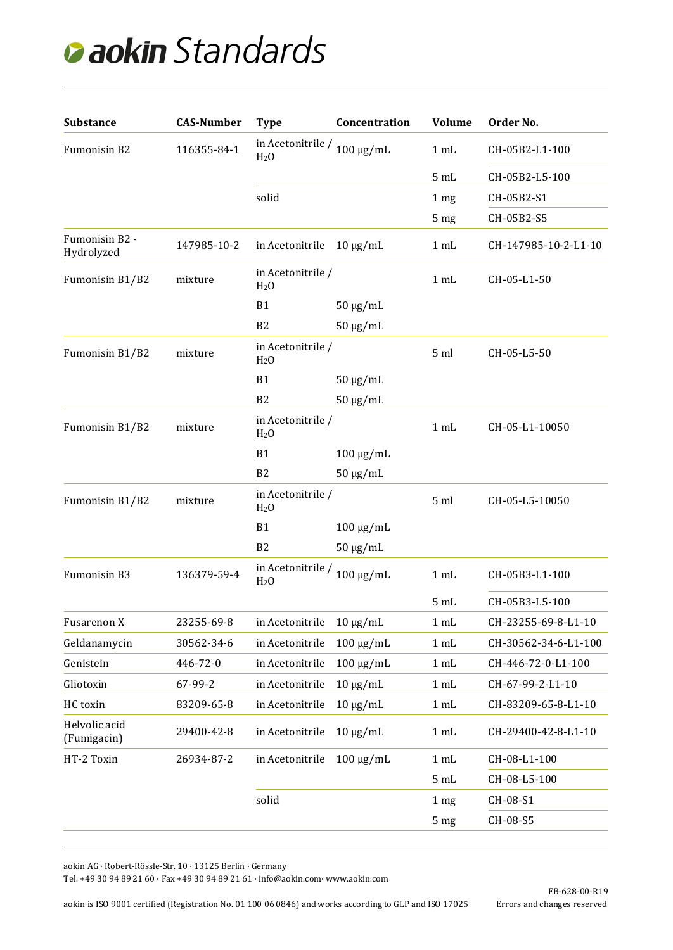| <b>Substance</b>             | <b>CAS-Number</b> | <b>Type</b>                                                    | Concentration  | <b>Volume</b>   | Order No.            |
|------------------------------|-------------------|----------------------------------------------------------------|----------------|-----------------|----------------------|
| Fumonisin B2                 | 116355-84-1       | in Acetoni<br>trile / $_{100~\mu\rm g/mL}$<br>H <sub>2</sub> 0 |                | 1 mL            | CH-05B2-L1-100       |
|                              |                   |                                                                |                | 5 mL            | CH-05B2-L5-100       |
|                              |                   | solid                                                          |                | 1 <sub>mg</sub> | CH-05B2-S1           |
|                              |                   |                                                                |                | 5 <sub>mg</sub> | CH-05B2-S5           |
| Fumonisin B2 -<br>Hydrolyzed | 147985-10-2       | in Acetonitrile                                                | $10 \mu g/mL$  | 1 mL            | CH-147985-10-2-L1-10 |
| Fumonisin B1/B2              | mixture           | in Acetonitrile /<br>H <sub>2</sub> O                          |                | 1 mL            | CH-05-L1-50          |
|                              |                   | <b>B1</b>                                                      | $50 \mu g/mL$  |                 |                      |
|                              |                   | B <sub>2</sub>                                                 | $50 \mu g/mL$  |                 |                      |
| Fumonisin B1/B2              | mixture           | in Acetonitrile /<br>H <sub>2</sub> 0                          |                | 5 <sub>ml</sub> | CH-05-L5-50          |
|                              |                   | <b>B1</b>                                                      | $50 \mu g/mL$  |                 |                      |
|                              |                   | B2                                                             | $50 \mu g/mL$  |                 |                      |
| Fumonisin B1/B2              | mixture           | in Acetonitrile /<br>H <sub>2</sub> O                          |                | 1 mL            | CH-05-L1-10050       |
|                              |                   | <b>B1</b>                                                      | $100 \mu g/mL$ |                 |                      |
|                              |                   | B <sub>2</sub>                                                 | $50 \mu g/mL$  |                 |                      |
| Fumonisin B1/B2              | mixture           | in Acetonitrile /<br>H <sub>2</sub> O                          |                | 5 <sub>ml</sub> | CH-05-L5-10050       |
|                              |                   | <b>B1</b>                                                      | $100 \mu g/mL$ |                 |                      |
|                              |                   | B <sub>2</sub>                                                 | $50 \mu g/mL$  |                 |                      |
| Fumonisin B3                 | 136379-59-4       | in Acetonitrile /<br>H <sub>2</sub> 0                          | $100 \mu g/mL$ | 1 mL            | CH-05B3-L1-100       |
|                              |                   |                                                                |                | 5 mL            | CH-05B3-L5-100       |
| Fusarenon X                  | 23255-69-8        | in Acetonitrile                                                | $10 \mu g/mL$  | 1 mL            | CH-23255-69-8-L1-10  |
| Geldanamycin                 | 30562-34-6        | in Acetonitrile                                                | $100 \mu g/mL$ | 1 mL            | CH-30562-34-6-L1-100 |
| Genistein                    | 446-72-0          | in Acetonitrile                                                | $100 \mu g/mL$ | 1 mL            | CH-446-72-0-L1-100   |
| Gliotoxin                    | 67-99-2           | in Acetonitrile                                                | $10 \mu g/mL$  | 1 mL            | CH-67-99-2-L1-10     |
| HC toxin                     | 83209-65-8        | in Acetonitrile                                                | $10 \mu g/mL$  | 1 mL            | CH-83209-65-8-L1-10  |
| Helvolic acid<br>(Fumigacin) | 29400-42-8        | in Acetonitrile                                                | $10 \mu g/mL$  | 1 mL            | CH-29400-42-8-L1-10  |
| HT-2 Toxin                   | 26934-87-2        | in Acetonitrile                                                | $100 \mu g/mL$ | 1 mL            | CH-08-L1-100         |
|                              |                   |                                                                |                | 5 mL            | CH-08-L5-100         |
|                              |                   | solid                                                          |                | 1 <sub>mg</sub> | CH-08-S1             |
|                              |                   |                                                                |                | 5 <sub>mg</sub> | CH-08-S5             |
|                              |                   |                                                                |                |                 |                      |

aokin AG · Robert-Rössle-Str. 10 · 13125 Berlin · Germany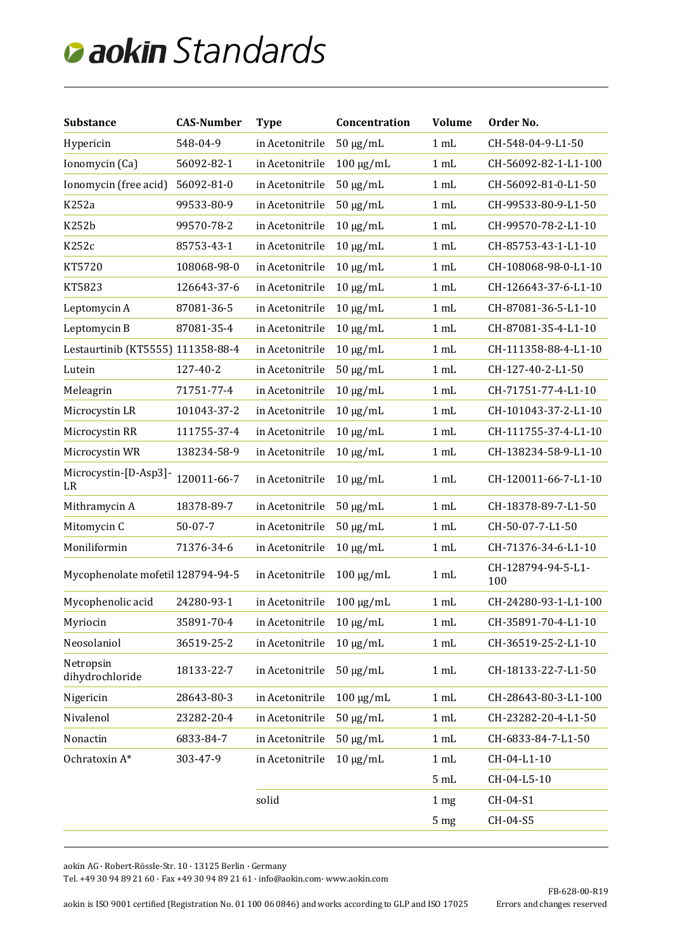| <b>Substance</b>                  | <b>CAS-Number</b> | <b>Type</b>     | Concentration  | <b>Volume</b>   | Order No.                 |
|-----------------------------------|-------------------|-----------------|----------------|-----------------|---------------------------|
| Hypericin                         | 548-04-9          | in Acetonitrile | $50 \mu g/mL$  | 1 mL            | CH-548-04-9-L1-50         |
| Ionomycin (Ca)                    | 56092-82-1        | in Acetonitrile | $100 \mu g/mL$ | 1 mL            | CH-56092-82-1-L1-100      |
| Ionomycin (free acid)             | 56092-81-0        | in Acetonitrile | $50 \mu g/mL$  | 1 mL            | CH-56092-81-0-L1-50       |
| K252a                             | 99533-80-9        | in Acetonitrile | $50 \mu g/mL$  | 1 mL            | CH-99533-80-9-L1-50       |
| <b>K252b</b>                      | 99570-78-2        | in Acetonitrile | $10 \mu g/mL$  | 1 mL            | CH-99570-78-2-L1-10       |
| K252c                             | 85753-43-1        | in Acetonitrile | $10 \mu g/mL$  | 1 mL            | CH-85753-43-1-L1-10       |
| KT5720                            | 108068-98-0       | in Acetonitrile | $10 \mu g/mL$  | 1 mL            | CH-108068-98-0-L1-10      |
| KT5823                            | 126643-37-6       | in Acetonitrile | $10 \mu g/mL$  | 1 mL            | CH-126643-37-6-L1-10      |
| Leptomycin A                      | 87081-36-5        | in Acetonitrile | $10 \mu g/mL$  | 1 mL            | CH-87081-36-5-L1-10       |
| Leptomycin B                      | 87081-35-4        | in Acetonitrile | $10 \mu g/mL$  | 1 mL            | CH-87081-35-4-L1-10       |
| Lestaurtinib (KT5555) 111358-88-4 |                   | in Acetonitrile | $10 \mu g/mL$  | 1 mL            | CH-111358-88-4-L1-10      |
| Lutein                            | 127-40-2          | in Acetonitrile | $50 \mu g/mL$  | 1 mL            | CH-127-40-2-L1-50         |
| Meleagrin                         | 71751-77-4        | in Acetonitrile | $10 \mu g/mL$  | 1 mL            | CH-71751-77-4-L1-10       |
| Microcystin LR                    | 101043-37-2       | in Acetonitrile | $10 \mu g/mL$  | 1 mL            | CH-101043-37-2-L1-10      |
| Microcystin RR                    | 111755-37-4       | in Acetonitrile | $10 \mu g/mL$  | 1 mL            | CH-111755-37-4-L1-10      |
| Microcystin WR                    | 138234-58-9       | in Acetonitrile | $10 \mu g/mL$  | 1 mL            | CH-138234-58-9-L1-10      |
| Microcystin-[D-Asp3]-<br>LR       | 120011-66-7       | in Acetonitrile | $10 \mu g/mL$  | 1 mL            | CH-120011-66-7-L1-10      |
| Mithramycin A                     | 18378-89-7        | in Acetonitrile | $50 \mu g/mL$  | 1 mL            | CH-18378-89-7-L1-50       |
| Mitomycin C                       | $50 - 07 - 7$     | in Acetonitrile | $50 \mu g/mL$  | 1 mL            | CH-50-07-7-L1-50          |
| Moniliformin                      | 71376-34-6        | in Acetonitrile | $10 \mu g/mL$  | 1 mL            | CH-71376-34-6-L1-10       |
| Mycophenolate mofetil 128794-94-5 |                   | in Acetonitrile | $100 \mu g/mL$ | 1 mL            | CH-128794-94-5-L1-<br>100 |
| Mycophenolic acid                 | 24280-93-1        | in Acetonitrile | $100 \mu g/mL$ | 1 <sub>mL</sub> | CH-24280-93-1-L1-100      |
| Myriocin                          | 35891-70-4        | in Acetonitrile | $10 \mu g/mL$  | 1 mL            | CH-35891-70-4-L1-10       |
| Neosolaniol                       | 36519-25-2        | in Acetonitrile | $10 \mu g/mL$  | 1 mL            | CH-36519-25-2-L1-10       |
| Netropsin<br>dihydrochloride      | 18133-22-7        | in Acetonitrile | $50 \mu g/mL$  | 1 mL            | CH-18133-22-7-L1-50       |
| Nigericin                         | 28643-80-3        | in Acetonitrile | $100 \mu g/mL$ | 1 mL            | CH-28643-80-3-L1-100      |
| Nivalenol                         | 23282-20-4        | in Acetonitrile | $50 \mu g/mL$  | 1 mL            | CH-23282-20-4-L1-50       |
| Nonactin                          | 6833-84-7         | in Acetonitrile | $50 \mu g/mL$  | 1 mL            | CH-6833-84-7-L1-50        |
| Ochratoxin A*                     | 303-47-9          | in Acetonitrile | $10 \mu g/mL$  | 1 <sub>mL</sub> | CH-04-L1-10               |
|                                   |                   |                 |                | 5 mL            | CH-04-L5-10               |
|                                   |                   | solid           |                | 1 <sub>mg</sub> | CH-04-S1                  |
|                                   |                   |                 |                | 5 mg            | CH-04-S5                  |
|                                   |                   |                 |                |                 |                           |

aokin AG · Robert-Rössle-Str. 10 · 13125 Berlin · Germany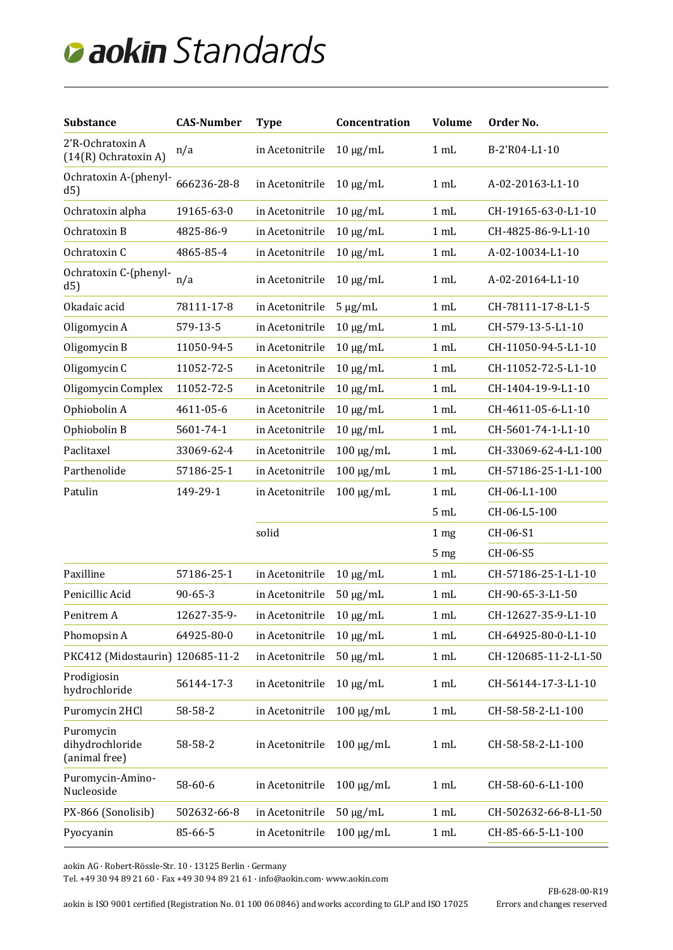| <b>Substance</b>                              | <b>CAS-Number</b> | <b>Type</b>     | Concentration  | <b>Volume</b>   | Order No.            |
|-----------------------------------------------|-------------------|-----------------|----------------|-----------------|----------------------|
| 2'R-Ochratoxin A<br>$(14(R)$ Ochratoxin A)    | n/a               | in Acetonitrile | $10 \mu g/mL$  | 1 mL            | B-2'R04-L1-10        |
| Ochratoxin A-(phenyl-<br>d5)                  | 666236-28-8       | in Acetonitrile | $10 \mu g/mL$  | 1 mL            | A-02-20163-L1-10     |
| Ochratoxin alpha                              | 19165-63-0        | in Acetonitrile | $10 \mu g/mL$  | 1 mL            | CH-19165-63-0-L1-10  |
| Ochratoxin B                                  | 4825-86-9         | in Acetonitrile | $10 \mu g/mL$  | 1 mL            | CH-4825-86-9-L1-10   |
| Ochratoxin C                                  | 4865-85-4         | in Acetonitrile | $10 \mu g/mL$  | 1 mL            | A-02-10034-L1-10     |
| Ochratoxin C-(phenyl-<br>d5)                  | n/a               | in Acetonitrile | $10 \mu g/mL$  | 1 mL            | A-02-20164-L1-10     |
| Okadaic acid                                  | 78111-17-8        | in Acetonitrile | $5 \mu g/mL$   | 1 mL            | CH-78111-17-8-L1-5   |
| Oligomycin A                                  | 579-13-5          | in Acetonitrile | $10 \mu g/mL$  | 1 mL            | CH-579-13-5-L1-10    |
| Oligomycin B                                  | 11050-94-5        | in Acetonitrile | $10 \mu g/mL$  | 1 mL            | CH-11050-94-5-L1-10  |
| Oligomycin C                                  | 11052-72-5        | in Acetonitrile | $10 \mu g/mL$  | 1 mL            | CH-11052-72-5-L1-10  |
| Oligomycin Complex                            | 11052-72-5        | in Acetonitrile | $10 \mu g/mL$  | 1 mL            | CH-1404-19-9-L1-10   |
| Ophiobolin A                                  | 4611-05-6         | in Acetonitrile | $10 \mu g/mL$  | 1 mL            | CH-4611-05-6-L1-10   |
| Ophiobolin B                                  | 5601-74-1         | in Acetonitrile | $10 \mu g/mL$  | 1 mL            | CH-5601-74-1-L1-10   |
| Paclitaxel                                    | 33069-62-4        | in Acetonitrile | $100 \mu g/mL$ | 1 mL            | CH-33069-62-4-L1-100 |
| Parthenolide                                  | 57186-25-1        | in Acetonitrile | $100 \mu g/mL$ | 1 mL            | CH-57186-25-1-L1-100 |
| Patulin                                       | 149-29-1          | in Acetonitrile | $100 \mu g/mL$ | 1 mL            | CH-06-L1-100         |
|                                               |                   |                 |                | 5 mL            | CH-06-L5-100         |
|                                               |                   | solid           |                | 1 <sub>mg</sub> | CH-06-S1             |
|                                               |                   |                 |                | 5 <sub>mg</sub> | CH-06-S5             |
| Paxilline                                     | 57186-25-1        | in Acetonitrile | $10 \mu g/mL$  | 1 mL            | CH-57186-25-1-L1-10  |
| Penicillic Acid                               | $90 - 65 - 3$     | in Acetonitrile | $50 \mu g/mL$  | 1 mL            | CH-90-65-3-L1-50     |
| Penitrem A                                    | 12627-35-9-       | in Acetonitrile | $10 \mu g/mL$  | 1 mL            | CH-12627-35-9-L1-10  |
| Phomopsin A                                   | 64925-80-0        | in Acetonitrile | $10 \mu g/mL$  | 1 mL            | CH-64925-80-0-L1-10  |
| PKC412 (Midostaurin) 120685-11-2              |                   | in Acetonitrile | $50 \mu g/mL$  | 1 mL            | CH-120685-11-2-L1-50 |
| Prodigiosin<br>hydrochloride                  | 56144-17-3        | in Acetonitrile | $10 \mu g/mL$  | 1 mL            | CH-56144-17-3-L1-10  |
| Puromycin 2HCl                                | 58-58-2           | in Acetonitrile | $100 \mu g/mL$ | 1 mL            | CH-58-58-2-L1-100    |
| Puromycin<br>dihydrochloride<br>(animal free) | 58-58-2           | in Acetonitrile | $100 \mu g/mL$ | 1 mL            | CH-58-58-2-L1-100    |
| Puromycin-Amino-<br>Nucleoside                | 58-60-6           | in Acetonitrile | $100 \mu g/mL$ | 1 mL            | CH-58-60-6-L1-100    |
| PX-866 (Sonolisib)                            | 502632-66-8       | in Acetonitrile | $50 \mu g/mL$  | 1 mL            | CH-502632-66-8-L1-50 |
| Pyocyanin                                     | 85-66-5           | in Acetonitrile | $100 \mu g/mL$ | 1 mL            | CH-85-66-5-L1-100    |
|                                               |                   |                 |                |                 |                      |

aokin AG · Robert-Rössle-Str. 10 · 13125 Berlin · Germany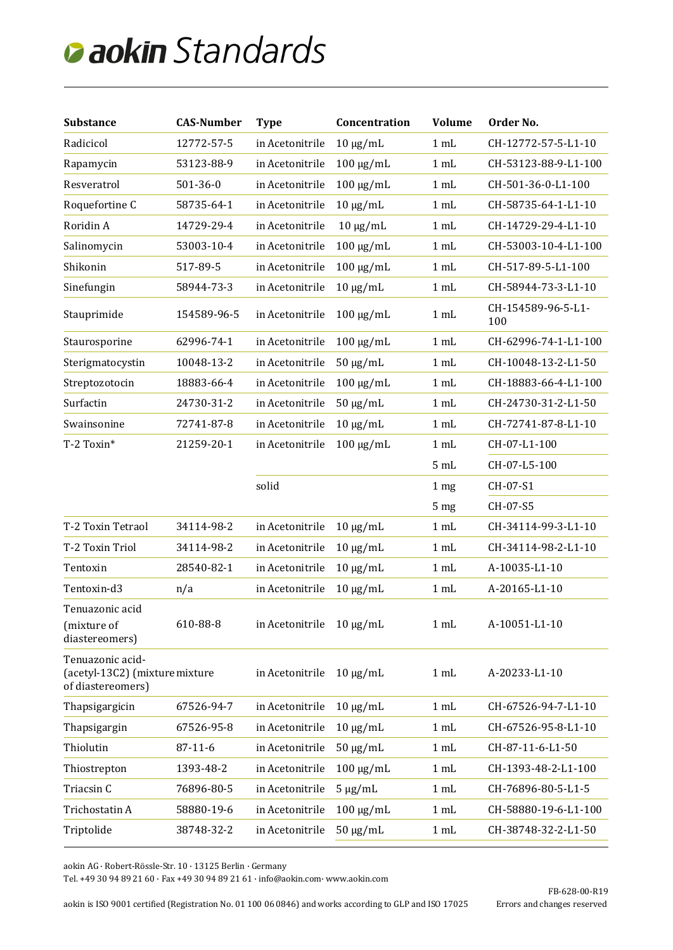| <b>Substance</b>                                                        | <b>CAS-Number</b> | <b>Type</b>     | Concentration  | <b>Volume</b>   | Order No.                 |
|-------------------------------------------------------------------------|-------------------|-----------------|----------------|-----------------|---------------------------|
| Radicicol                                                               | 12772-57-5        | in Acetonitrile | $10 \mu g/mL$  | 1 mL            | CH-12772-57-5-L1-10       |
| Rapamycin                                                               | 53123-88-9        | in Acetonitrile | $100 \mu g/mL$ | 1 mL            | CH-53123-88-9-L1-100      |
| Resveratrol                                                             | $501 - 36 - 0$    | in Acetonitrile | $100 \mu g/mL$ | 1 mL            | CH-501-36-0-L1-100        |
| Roquefortine C                                                          | 58735-64-1        | in Acetonitrile | $10 \mu g/mL$  | 1 mL            | CH-58735-64-1-L1-10       |
| Roridin A                                                               | 14729-29-4        | in Acetonitrile | $10 \mu g/mL$  | 1 mL            | CH-14729-29-4-L1-10       |
| Salinomycin                                                             | 53003-10-4        | in Acetonitrile | $100 \mu g/mL$ | 1 mL            | CH-53003-10-4-L1-100      |
| Shikonin                                                                | 517-89-5          | in Acetonitrile | $100 \mu g/mL$ | 1 mL            | CH-517-89-5-L1-100        |
| Sinefungin                                                              | 58944-73-3        | in Acetonitrile | $10 \mu g/mL$  | 1 mL            | CH-58944-73-3-L1-10       |
| Stauprimide                                                             | 154589-96-5       | in Acetonitrile | $100 \mu g/mL$ | 1 mL            | CH-154589-96-5-L1-<br>100 |
| Staurosporine                                                           | 62996-74-1        | in Acetonitrile | $100 \mu g/mL$ | 1 mL            | CH-62996-74-1-L1-100      |
| Sterigmatocystin                                                        | 10048-13-2        | in Acetonitrile | $50 \mu g/mL$  | 1 mL            | CH-10048-13-2-L1-50       |
| Streptozotocin                                                          | 18883-66-4        | in Acetonitrile | $100 \mu g/mL$ | 1 mL            | CH-18883-66-4-L1-100      |
| Surfactin                                                               | 24730-31-2        | in Acetonitrile | $50 \mu g/mL$  | 1 mL            | CH-24730-31-2-L1-50       |
| Swainsonine                                                             | 72741-87-8        | in Acetonitrile | $10 \mu g/mL$  | 1 mL            | CH-72741-87-8-L1-10       |
| T-2 Toxin*                                                              | 21259-20-1        | in Acetonitrile | $100 \mu g/mL$ | 1 mL            | CH-07-L1-100              |
|                                                                         |                   |                 |                | 5 mL            | CH-07-L5-100              |
|                                                                         |                   | solid           |                | 1 <sub>mg</sub> | CH-07-S1                  |
|                                                                         |                   |                 |                | 5 <sub>mg</sub> | CH-07-S5                  |
| T-2 Toxin Tetraol                                                       | 34114-98-2        | in Acetonitrile | $10 \mu g/mL$  | 1 mL            | CH-34114-99-3-L1-10       |
| T-2 Toxin Triol                                                         | 34114-98-2        | in Acetonitrile | $10 \mu g/mL$  | 1 mL            | CH-34114-98-2-L1-10       |
| Tentoxin                                                                | 28540-82-1        | in Acetonitrile | $10 \mu g/mL$  | 1 mL            | A-10035-L1-10             |
| Tentoxin-d3                                                             | n/a               | in Acetonitrile | $10 \mu g/mL$  | 1 mL            | A-20165-L1-10             |
| Tenuazonic acid<br>(mixture of<br>diastereomers)                        | 610-88-8          | in Acetonitrile | $10 \mu g/mL$  | 1 mL            | A-10051-L1-10             |
| Tenuazonic acid-<br>(acetyl-13C2) (mixture mixture<br>of diastereomers) |                   | in Acetonitrile | $10 \mu g/mL$  | 1 mL            | A-20233-L1-10             |
| Thapsigargicin                                                          | 67526-94-7        | in Acetonitrile | $10 \mu g/mL$  | 1 mL            | CH-67526-94-7-L1-10       |
| Thapsigargin                                                            | 67526-95-8        | in Acetonitrile | $10 \mu g/mL$  | 1 mL            | CH-67526-95-8-L1-10       |
| Thiolutin                                                               | $87 - 11 - 6$     | in Acetonitrile | $50 \mu g/mL$  | 1 mL            | CH-87-11-6-L1-50          |
| Thiostrepton                                                            | 1393-48-2         | in Acetonitrile | $100 \mu g/mL$ | 1 mL            | CH-1393-48-2-L1-100       |
| Triacsin C                                                              | 76896-80-5        | in Acetonitrile | $5 \mu g/mL$   | 1 mL            | CH-76896-80-5-L1-5        |
| Trichostatin A                                                          | 58880-19-6        | in Acetonitrile | $100 \mu g/mL$ | 1 mL            | CH-58880-19-6-L1-100      |
| Triptolide                                                              | 38748-32-2        | in Acetonitrile | $50 \mu g/mL$  | 1 mL            | CH-38748-32-2-L1-50       |

aokin AG · Robert-Rössle-Str. 10 · 13125 Berlin · Germany